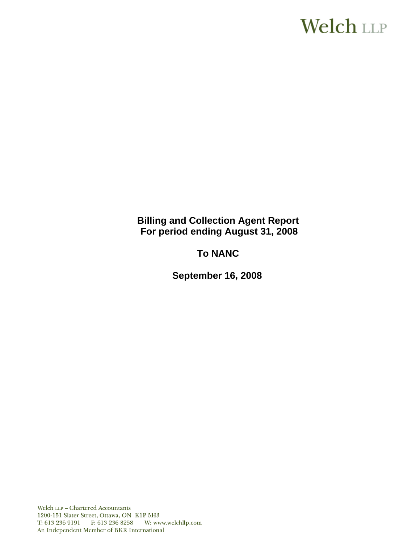# **Welch LLP**

**Billing and Collection Agent Report For period ending August 31, 2008**

**To NANC** 

 **September 16, 2008**

Welch LLP - Chartered Accountants 1200-151 Slater Street, Ottawa, ON K1P 5H3 T: 613 236 9191 F: 613 236 8258 W: www.welchllp.com An Independent Member of BKR International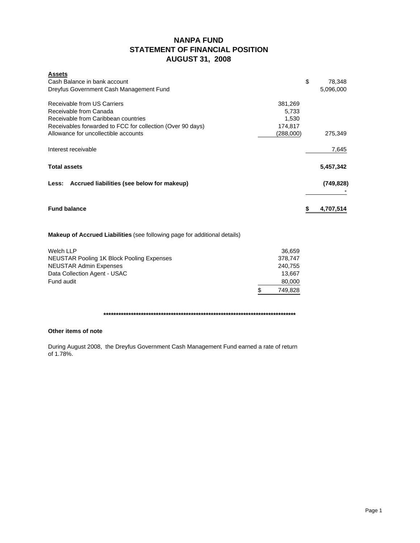# **NANPA FUND STATEMENT OF FINANCIAL POSITION AUGUST 31, 2008**

| <b>Assets</b><br>Cash Balance in bank account<br>Dreyfus Government Cash Management Fund                                                                   |                                      | \$<br>78,348<br>5,096,000 |
|------------------------------------------------------------------------------------------------------------------------------------------------------------|--------------------------------------|---------------------------|
| Receivable from US Carriers<br>Receivable from Canada<br>Receivable from Caribbean countries<br>Receivables forwarded to FCC for collection (Over 90 days) | 381,269<br>5,733<br>1,530<br>174,817 |                           |
| Allowance for uncollectible accounts                                                                                                                       | (288,000)                            | 275,349                   |
| Interest receivable                                                                                                                                        |                                      | 7,645                     |
| <b>Total assets</b>                                                                                                                                        |                                      | 5,457,342                 |
| Accrued liabilities (see below for makeup)<br>Less:                                                                                                        |                                      | (749, 828)                |
| <b>Fund balance</b>                                                                                                                                        |                                      | \$<br>4,707,514           |
| <b>Makeup of Accrued Liabilities</b> (see following page for additional details)                                                                           |                                      |                           |
| <b>Welch LLP</b>                                                                                                                                           | 36,659                               |                           |
| NEUSTAR Pooling 1K Block Pooling Expenses                                                                                                                  | 378,747                              |                           |
| <b>NEUSTAR Admin Expenses</b>                                                                                                                              | 240,755                              |                           |
| Data Collection Agent - USAC                                                                                                                               | 13,667                               |                           |
| Fund audit                                                                                                                                                 | 80,000                               |                           |
|                                                                                                                                                            | \$<br>749,828                        |                           |

**\*\*\*\*\*\*\*\*\*\*\*\*\*\*\*\*\*\*\*\*\*\*\*\*\*\*\*\*\*\*\*\*\*\*\*\*\*\*\*\*\*\*\*\*\*\*\*\*\*\*\*\*\*\*\*\*\*\*\*\*\*\*\*\*\*\*\*\*\*\*\*\*\*\*\*\*\***

## **Other items of note**

During August 2008, the Dreyfus Government Cash Management Fund earned a rate of return of 1.78%.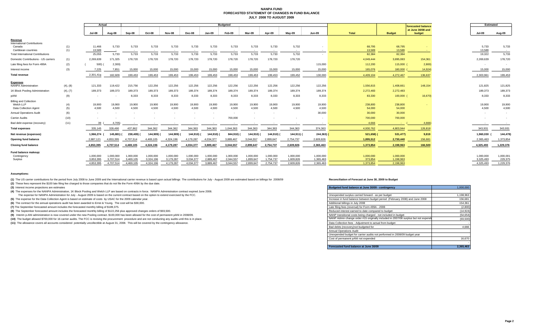### **NANPA FUND FORECASTED STATEMENT OF CHANGES IN FUND BALANCEJULY 2008 TO AUGUST 2009**

|                                                |          | Actual        |            |           |            | <b>Budgeted</b> |           |           |           |            |            |            |               |           |                 |                                                   |                          | <b>Estimated</b>         |  |
|------------------------------------------------|----------|---------------|------------|-----------|------------|-----------------|-----------|-----------|-----------|------------|------------|------------|---------------|-----------|-----------------|---------------------------------------------------|--------------------------|--------------------------|--|
|                                                |          | <b>Jul-08</b> | Aug-08     | Sep-08    | Oct-08     | Nov-08          | Dec-08    | Jan-09    | Feb-09    | Mar-09     | Apr-09     | Mav-09     | <b>Jun-09</b> | Total     | <b>Budget</b>   | forecasted balance<br>at June 30/08 and<br>budget | Jul-09                   | Aug-09                   |  |
| Revenue                                        |          |               |            |           |            |                 |           |           |           |            |            |            |               |           |                 |                                                   |                          |                          |  |
| <b>International Contributions</b><br>Canada   | (1)      | 11,466        | 5,733      | 5,733     | 5,733      | 5,733           | 5,733     | 5,733     | 5,733     | 5,733      | 5,733      | 5,732      |               | 68,795    | 68,795          |                                                   | 5,733                    | 5,733                    |  |
| Caribbean countries                            | (1)      | 13,589        |            | $\sim$    |            | $\sim$          |           | $\sim$    |           | $\sim$     |            | $\sim$     |               | 13,589    | 13,589          |                                                   | 13,589                   | $\sim$                   |  |
| <b>Total International Contributions</b>       |          | 25,055        | 5,733      | 5,733     | 5,733      | 5,733           | 5,733     | 5,733     | 5,733     | 5,733      | 5,733      | 5,732      |               | 82,384    | 82,384          |                                                   | 19,322                   | 5,733                    |  |
| Domestic Contributions - US carriers           | (1)      | 2,269,639     | 171,325    | 178,720   | 178,720    | 178,720         | 178,720   | 178,720   | 178,720   | 178,720    | 178,720    | 178,720    |               | 4,049,444 | 3,895,083       | 154,361                                           | 2,269,639                | 178,720                  |  |
| Late filing fees for Form 499A                 | (2)      | 500)          | 2,300      |           |            |                 |           |           |           |            |            |            | 115,000       | 112,200   | $115,000$ (     | 2,800                                             | $\overline{\phantom{a}}$ | $\sim$                   |  |
| Interest income                                | (3)      | 7,225         | 7,851      | 15,000    | 15,000     | 15,000          | 15,000    | 15,000    | 15,000    | 15,000     | 15,000     | 15,000     | 15,000        | 165,076   | 180,000         | 14,924)                                           | 15,000                   | 15,000                   |  |
| <b>Total revenue</b>                           |          | 2.301.419     | 182.609    | 199.453   | 199.453    | 199.453         | 199.453   | 199.453   | 199.453   | 199.453    | 199.453    | 199.452    | 130,000       | 4.409.104 | 4,272,467       | 136.637                                           | 2,303,961                | 199.453                  |  |
|                                                |          |               |            |           |            |                 |           |           |           |            |            |            |               |           |                 |                                                   |                          |                          |  |
| <b>Expenses</b><br><b>NANPA Administration</b> | (4), (8) | 121,333       | 119,422    | 215,756   | 122,256    | 122,256         | 122,256   | 122,256   | 122,256   | 122,256    | 122,256    | 122,256    | 122,256       | 1,556,815 | 1,408,661       | 148,154                                           | 121,825                  | 121,825                  |  |
| 1K Block Pooling Administration                | (4), (7) | 189,373       | 189,373    | 189,373   | 189,373    | 189,373         | 189,374   | 189,374   | 189,374   | 189,374    | 189,374    | 189,374    | 189,374       | 2,272,483 | 2,272,483       |                                                   | 189,373                  | 189,373                  |  |
| pANI                                           | (9)      |               |            | 8,333     | 8,333      | 8,333           | 8,333     | 8,333     | 8,333     | 8,333      | 8,333      | 8,333      | 8,333         | 83,330    | $100,000$ (     | 16,670)                                           | 8,333                    | 8,333                    |  |
| <b>Billing and Collection</b>                  |          |               |            |           |            |                 |           |           |           |            |            |            |               |           |                 |                                                   |                          |                          |  |
| Welch LLP                                      | (4)      | 19,900        | 19,900     | 19,900    | 19,900     | 19,900          | 19,900    | 19,900    | 19,900    | 19,900     | 19,900     | 19,900     | 19,900        | 238,800   | 238,800         |                                                   | 19,900                   | 19,900                   |  |
| Data Collection Agent                          | (5)      | 4,500         | 4,500      | 4,500     | 4,500      | 4,500           | 4,500     | 4,500     | 4,500     | 4,500      | 4,500      | 4.500      | 4,500         | 54,000    | 54,000          |                                                   | 4,500                    | 4,500                    |  |
| <b>Annual Operations Audit</b>                 | (6)      |               |            |           |            |                 |           | $\sim$    | $\sim$    | $\sim$     | $\sim$     |            | 30,000        | 30,000    | 30,000          |                                                   |                          |                          |  |
| Carrier Audits                                 | (10)     |               |            |           |            |                 |           |           | 700,000   |            |            |            |               | 700,000   | 700,000         |                                                   |                          | $\overline{\phantom{a}}$ |  |
| Bad debt expense (recovery)                    | (11)     | 39            | 4.705)     |           |            |                 |           |           |           | $\sim$     | $\sim$     | $\sim$     | $\sim$        | 4,666     | <b>Contract</b> | 4,666)                                            |                          |                          |  |
| <b>Total expenses</b>                          |          | 335,145       | 328,490    | 437,862   | 344,362    | 344,362         | 344,363   | 344,363   | 1,044,363 | 344,363    | 344,363    | 344,363    | 374,363       | 4,930,762 | 4,803,944       | 126,818                                           | 343,931                  | 343,931                  |  |
| Net revenue (expenses)                         |          | 1,966,274     | 145,881) ( | 238,409)  | 144,909) ( | 144,909)        | 144,910)  | 144,910)  | 844,910)  | 144,910) ( | 144,910) ( | 144,911) ( | $244,363$ )   | 521,658   | 531,477)        | 9,819                                             | 1,960,030                | 144,478                  |  |
| <b>Opening fund balance</b>                    |          | 2,887,121     | 4,853,395  | 4,707,514 | 4,469,105  | 4,324,196       | 4,179,287 | 4,034,377 | 3,889,467 | 3,044,557  | 2,899,647  | 2,754,737  | 2,609,826     | 1,895,512 | 2,730,440       | 156,681                                           | 2,365,463                | 1,373,854                |  |
| <b>Closing fund balance</b>                    |          | 4,853,395     | 4,707,514  | 4,469,105 | 4,324,196  | 4,179,287       | 4,034,377 | 3,889,467 | 3,044,557 | 2,899,647  | 2,754,737  | 2,609,826  | 2,365,463     | 1,373,854 | 2,198,963       | 166,500                                           | 4,325,493                | 1,229,376                |  |
| Fund balance makeup:                           |          |               |            |           |            |                 |           |           |           |            |            |            |               |           |                 |                                                   |                          |                          |  |
| Contingency                                    |          | 1,000,000     | 1.000.000  | 1,000,000 | 1,000,000  | 1,000,000       | 1,000,000 | 1,000,000 | 1,000,000 | 1,000,000  | 1,000,000  | 1,000,000  | 1,000,000     | 1,000,000 | 1,000,000       |                                                   | 1,000,000                | 1,000,001                |  |
| Surplus                                        |          | 3,853,395     | 3,707,514  | 3,469,105 | 3,324,196  | 3,179,287       | 3,034,377 | 2,889,467 | 2.044.557 | 1.899.647  | 1.754.737  | 1,609,826  | 1.365.463     | 373,854   | 1,198,963       |                                                   | 3,325,493                | 229,375                  |  |
|                                                |          | 4,853,395     | 4.707.514  | 4.469.105 | 4,324,196  | 4,179,287       | 4.034.377 | 3.889.467 | 3.044.557 | 2.899.647  | 2,754,737  | 2.609.826  | 2.365.463     | 1.373.854 | 2,198,963       |                                                   | 4,325,493                | 1,229,376                |  |

#### **Assumptions:**

(1) The US carrier contributions for the period from July 2008 to June 2009 and the International carrier revenue is based upon actual billings The contributions for July - August 2009 are estimated based on billings for 2

**(2)** These fees represent the \$100 late filing fee charged to those companies that do not file the Form 499A by the due date.

**(3)** Interest income projections are estimates

**(4)** The expenses for the NANPA Administration, 1K Block Pooling and Welch LLP are based on contracts in force. NANPA Administration contract expired June 2008.

The expense for NANPA Administration for July - August 2009 is based on the current contract based on the option to extend exercised by the FCC.

(5) The expense for the Data Collection Agent is based on estimate of costs by USAC for the 2009 calendar year.

(6) The contract for the annual operations audit has been awarded to Ernst & Young. The cost will be \$30,000.

(7) The September forecasted amount includes the forecasted monthly billing of \$189,375.

(8) The September forecasted amount includes the forecasted monthly billing of \$122,256 plus approved changes orders of \$93,500.

(9) Interim p-ANI administration is now covered under the new Pooling contract. \$100,000 has been allowed for the cost of permanent pANI in 2008/09.

(10) The budget allowed \$700,000 for 16 carrier audits. The FCC is revising the procurement procedure and are not conducting any audits until this is in place.

(11) The allowance covers all accounts considered potentially uncollectible at August 31, 2008. This will be covered by the contingency allowance.

| Budgeted fund balance at June 30/09 - contingency                                  | 1,000,000 |
|------------------------------------------------------------------------------------|-----------|
|                                                                                    |           |
| Unexpended surplus carried forward - as per budget                                 | 1.198.963 |
| Increase in fund balance between budget period (February 2008) and June 2008       | 156,681   |
| Additional billings in July 2008                                                   | 154.361   |
| Late filing fees (reversal) for Form 499A - 2008                                   | (2,800)   |
| Reduced interest earned to date compared to budget                                 | (14, 924) |
| NANP transitional costs being charged - not included in budget                     | (54, 654) |
| NANP Admin change order #15 originally included in 2007/08 surplus but not expende | (93,500)  |
| Data Collection fees - Adjustment to actual from budget                            |           |
| Bad debts (recovery) not budgeted for                                              | 4.666     |
| <b>Annual Operations Audit</b>                                                     |           |
| Unexpended budget for carrier audits not performed in 2008/09 budget year          |           |
| Cost of permanent pANI not expended                                                | 16.670    |
|                                                                                    |           |
| Forecasted fund balance at June 30/09                                              | 2.365.463 |